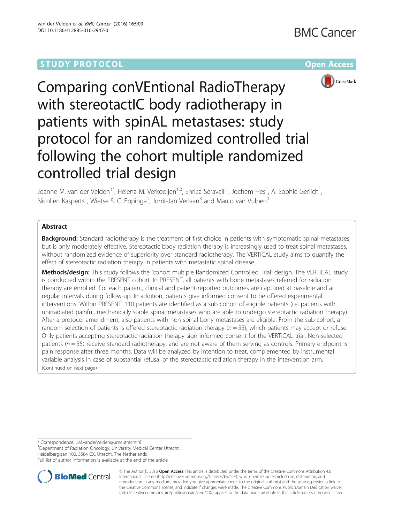



Comparing conVEntional RadioTherapy with stereotactIC body radiotherapy in patients with spinAL metastases: study protocol for an randomized controlled trial following the cohort multiple randomized controlled trial design

Joanne M. van der Velden<sup>1\*</sup>, Helena M. Verkooijen<sup>1,2</sup>, Enrica Seravalli<sup>1</sup>, Jochem Hes<sup>1</sup>, A. Sophie Gerlich<sup>1</sup> , Nicolien Kasperts<sup>1</sup>, Wietse S. C. Eppinga<sup>1</sup>, Jorrit-Jan Verlaan<sup>3</sup> and Marco van Vulpen<sup>1</sup>

# Abstract

**Background:** Standard radiotherapy is the treatment of first choice in patients with symptomatic spinal metastases, but is only moderately effective. Stereotactic body radiation therapy is increasingly used to treat spinal metastases, without randomized evidence of superiority over standard radiotherapy. The VERTICAL study aims to quantify the effect of stereotactic radiation therapy in patients with metastatic spinal disease.

Methods/design: This study follows the 'cohort multiple Randomized Controlled Trial' design. The VERTICAL study is conducted within the PRESENT cohort. In PRESENT, all patients with bone metastases referred for radiation therapy are enrolled. For each patient, clinical and patient-reported outcomes are captured at baseline and at regular intervals during follow-up. In addition, patients give informed consent to be offered experimental interventions. Within PRESENT, 110 patients are identified as a sub cohort of eligible patients (i.e. patients with unirradiated painful, mechanically stable spinal metastases who are able to undergo stereotactic radiation therapy). After a protocol amendment, also patients with non-spinal bony metastases are eligible. From the sub cohort, a random selection of patients is offered stereotactic radiation therapy ( $n = 55$ ), which patients may accept or refuse. Only patients accepting stereotactic radiation therapy sign informed consent for the VERTICAL trial. Non-selected patients ( $n = 55$ ) receive standard radiotherapy, and are not aware of them serving as controls. Primary endpoint is pain response after three months. Data will be analyzed by intention to treat, complemented by instrumental variable analysis in case of substantial refusal of the stereotactic radiation therapy in the intervention arm. (Continued on next page)

\* Correspondence: [J.M.vanderVelden@umcutrecht.nl](mailto:J.M.vanderVelden@umcutrecht.nl) <sup>1</sup>

<sup>1</sup>Department of Radiation Oncology, University Medical Center Utrecht,

Heidelberglaan 100, 3584 CX, Utrecht, The Netherlands Full list of author information is available at the end of the article



© The Author(s). 2016 Open Access This article is distributed under the terms of the Creative Commons Attribution 4.0 International License [\(http://creativecommons.org/licenses/by/4.0/](http://creativecommons.org/licenses/by/4.0/)), which permits unrestricted use, distribution, and reproduction in any medium, provided you give appropriate credit to the original author(s) and the source, provide a link to the Creative Commons license, and indicate if changes were made. The Creative Commons Public Domain Dedication waiver [\(http://creativecommons.org/publicdomain/zero/1.0/](http://creativecommons.org/publicdomain/zero/1.0/)) applies to the data made available in this article, unless otherwise stated.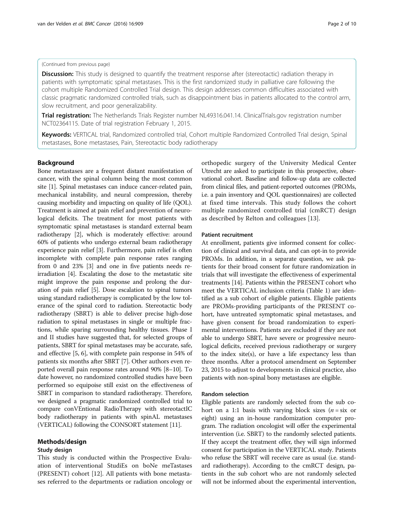# (Continued from previous page)

**Discussion:** This study is designed to quantify the treatment response after (stereotactic) radiation therapy in patients with symptomatic spinal metastases. This is the first randomized study in palliative care following the cohort multiple Randomized Controlled Trial design. This design addresses common difficulties associated with classic pragmatic randomized controlled trials, such as disappointment bias in patients allocated to the control arm, slow recruitment, and poor generalizability.

Trial registration: The Netherlands Trials Register number NL49316.041.14. ClinicalTrials.gov registration number [NCT02364115](https://www.clinicaltrials.gov/ct2/show/NCT02364115). Date of trial registration February 1, 2015.

Keywords: VERTICAL trial, Randomized controlled trial, Cohort multiple Randomized Controlled Trial design, Spinal metastases, Bone metastases, Pain, Stereotactic body radiotherapy

# Background

Bone metastases are a frequent distant manifestation of cancer, with the spinal column being the most common site [[1](#page-8-0)]. Spinal metastases can induce cancer-related pain, mechanical instability, and neural compression, thereby causing morbidity and impacting on quality of life (QOL). Treatment is aimed at pain relief and prevention of neurological deficits. The treatment for most patients with symptomatic spinal metastases is standard external beam radiotherapy [[2](#page-8-0)], which is moderately effective: around 60% of patients who undergo external beam radiotherapy experience pain relief [[3](#page-8-0)]. Furthermore, pain relief is often incomplete with complete pain response rates ranging from 0 and 23% [[3](#page-8-0)] and one in five patients needs reirradiation [[4](#page-8-0)]. Escalating the dose to the metastatic site might improve the pain response and prolong the duration of pain relief [\[5\]](#page-8-0). Dose escalation to spinal tumors using standard radiotherapy is complicated by the low tolerance of the spinal cord to radiation. Stereotactic body radiotherapy (SBRT) is able to deliver precise high-dose radiation to spinal metastases in single or multiple fractions, while sparing surrounding healthy tissues. Phase I and II studies have suggested that, for selected groups of patients, SBRT for spinal metastases may be accurate, safe, and effective [[5, 6](#page-8-0)], with complete pain response in 54% of patients six months after SBRT [\[7](#page-8-0)]. Other authors even reported overall pain response rates around 90% [\[8](#page-8-0)–[10\]](#page-8-0). To date however, no randomized controlled studies have been performed so equipoise still exist on the effectiveness of SBRT in comparison to standard radiotherapy. Therefore, we designed a pragmatic randomized controlled trial to compare conVEntional RadioTherapy with stereotactIC body radiotherapy in patients with spinAL metastases (VERTICAL) following the CONSORT statement [[11](#page-8-0)].

## Methods/design

# Study design

This study is conducted within the Prospective Evaluation of interventional StudiEs on boNe meTastases (PRESENT) cohort [[12](#page-8-0)]. All patients with bone metastases referred to the departments or radiation oncology or

orthopedic surgery of the University Medical Center Utrecht are asked to participate in this prospective, observational cohort. Baseline and follow-up data are collected from clinical files, and patient-reported outcomes (PROMs, i.e. a pain inventory and QOL questionnaires) are collected at fixed time intervals. This study follows the cohort multiple randomized controlled trial (cmRCT) design as described by Relton and colleagues [[13\]](#page-8-0).

## Patient recruitment

At enrollment, patients give informed consent for collection of clinical and survival data, and can opt-in to provide PROMs. In addition, in a separate question, we ask patients for their broad consent for future randomization in trials that will investigate the effectiveness of experimental treatments [[14](#page-8-0)]. Patients within the PRESENT cohort who meet the VERTICAL inclusion criteria (Table [1](#page-2-0)) are identified as a sub cohort of eligible patients. Eligible patients are PROMs-providing participants of the PRESENT cohort, have untreated symptomatic spinal metastases, and have given consent for broad randomization to experimental interventions. Patients are excluded if they are not able to undergo SBRT, have severe or progressive neurological deficits, received previous radiotherapy or surgery to the index site(s), or have a life expectancy less than three months. After a protocol amendment on September 23, 2015 to adjust to developments in clinical practice, also patients with non-spinal bony metastases are eligible.

# Random selection

Eligible patients are randomly selected from the sub cohort on a 1:1 basis with varying block sizes ( $n =$  six or eight) using an in-house randomization computer program. The radiation oncologist will offer the experimental intervention (i.e. SBRT) to the randomly selected patients. If they accept the treatment offer, they will sign informed consent for participation in the VERTICAL study. Patients who refuse the SBRT will receive care as usual (i.e. standard radiotherapy). According to the cmRCT design, patients in the sub cohort who are not randomly selected will not be informed about the experimental intervention,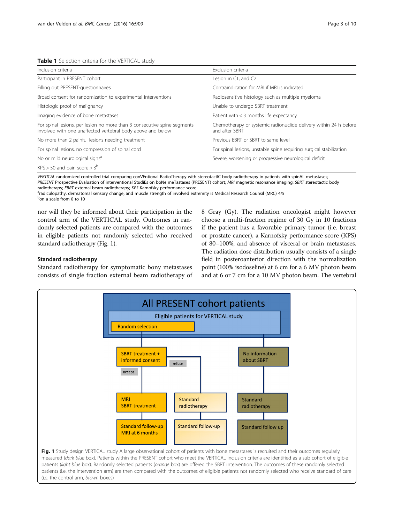# <span id="page-2-0"></span>Table 1 Selection criteria for the VERTICAL study

| Inclusion criteria                                                                                                                      | Exclusion criteria                                                                  |  |  |
|-----------------------------------------------------------------------------------------------------------------------------------------|-------------------------------------------------------------------------------------|--|--|
| Participant in PRESENT cohort                                                                                                           | Lesion in C1, and C2                                                                |  |  |
| Filling out PRESENT-questionnaires                                                                                                      | Contraindication for MRI if MRI is indicated                                        |  |  |
| Broad consent for randomization to experimental interventions                                                                           | Radiosensitive histology such as multiple myeloma                                   |  |  |
| Histologic proof of malignancy                                                                                                          | Unable to undergo SBRT treatment                                                    |  |  |
| Imaging evidence of bone metastases                                                                                                     | Patient with $<$ 3 months life expectancy                                           |  |  |
| For spinal lesions, per lesion no more than 3 consecutive spine segments<br>involved with one unaffected vertebral body above and below | Chemotherapy or systemic radionuclide delivery within 24 h before<br>and after SBRT |  |  |
| No more than 2 painful lesions needing treatment                                                                                        | Previous EBRT or SBRT to same level                                                 |  |  |
| For spinal lesions, no compression of spinal cord                                                                                       | For spinal lesions, unstable spine requiring surgical stabilization                 |  |  |
| No or mild neurological signs <sup>a</sup>                                                                                              | Severe, worsening or progressive neurological deficit                               |  |  |
| $KPS > 50$ and pain score $> 3^b$                                                                                                       |                                                                                     |  |  |

VERTICAL randomized controlled trial comparing conVEntional RadioTherapy with stereotactIC body radiotherapy in patients with spinAL metastases; PRESENT Prospective Evaluation of interventional StudiEs on boNe meTastases (PRESENT) cohort; MRI magnetic resonance imaging; SBRT stereotactic body radiotherapy; EBRT external beam radiotherapy; KPS Karnofsky performance score

<sup>a</sup>radiculopathy, dermatomal sensory change, and muscle strength of involved extremity is Medical Research Counsil (MRC) 4/5 b<sub>on a scale from 0 to 10</sub>

nor will they be informed about their participation in the control arm of the VERTICAL study. Outcomes in randomly selected patients are compared with the outcomes in eligible patients not randomly selected who received standard radiotherapy (Fig. 1).

# Standard radiotherapy

Standard radiotherapy for symptomatic bony metastases consists of single fraction external beam radiotherapy of 8 Gray (Gy). The radiation oncologist might however choose a multi-fraction regime of 30 Gy in 10 fractions if the patient has a favorable primary tumor (i.e. breast or prostate cancer), a Karnofsky performance score (KPS) of 80–100%, and absence of visceral or brain metastases. The radiation dose distribution usually consists of a single field in posteroanterior direction with the normalization point (100% isodoseline) at 6 cm for a 6 MV photon beam and at 6 or 7 cm for a 10 MV photon beam. The vertebral



(i.e. the control arm, brown boxes)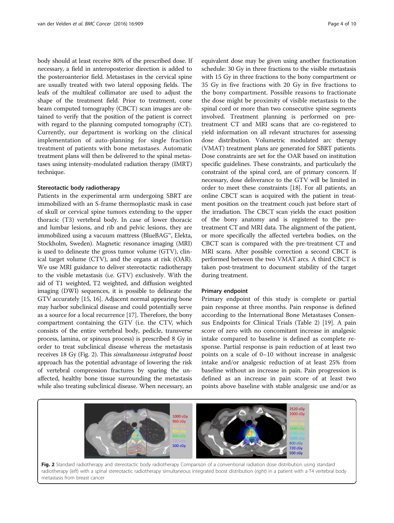body should at least receive 80% of the prescribed dose. If necessary, a field in anteroposterior direction is added to the posteroanterior field. Metastases in the cervical spine are usually treated with two lateral opposing fields. The leafs of the multileaf collimator are used to adjust the shape of the treatment field. Prior to treatment, cone beam computed tomography (CBCT) scan images are obtained to verify that the position of the patient is correct with regard to the planning computed tomography (CT). Currently, our department is working on the clinical implementation of auto-planning for single fraction treatment of patients with bone metastases. Automatic treatment plans will then be delivered to the spinal metastases using intensity-modulated radiation therapy (IMRT) technique.

## Stereotactic body radiotherapy

Patients in the experimental arm undergoing SBRT are immobilized with an S-frame thermoplastic mask in case of skull or cervical spine tumors extending to the upper thoracic (T3) vertebral body. In case of lower thoracic and lumbar lesions, and rib and pelvic lesions, they are immobilized using a vacuum mattress (BlueBAG™, Elekta, Stockholm, Sweden). Magnetic resonance imaging (MRI) is used to delineate the gross tumor volume (GTV), clinical target volume (CTV), and the organs at risk (OAR). We use MRI guidance to deliver stereotactic radiotherapy to the visible metastasis (i.e. GTV) exclusively. With the aid of T1 weighted, T2 weighted, and diffusion weighted imaging (DWI) sequences, it is possible to delineate the GTV accurately [[15](#page-8-0), [16](#page-8-0)]. Adjacent normal appearing bone may harbor subclinical disease and could potentially serve as a source for a local recurrence [\[17\]](#page-8-0). Therefore, the bony compartment containing the GTV (i.e. the CTV, which consists of the entire vertebral body, pedicle, transverse process, lamina, or spinous process) is prescribed 8 Gy in order to treat subclinical disease whereas the metastasis receives 18 Gy (Fig. 2). This simultaneous integrated boost approach has the potential advantage of lowering the risk of vertebral compression fractures by sparing the unaffected, healthy bone tissue surrounding the metastasis while also treating subclinical disease. When necessary, an

equivalent dose may be given using another fractionation schedule: 30 Gy in three fractions to the visible metastasis with 15 Gy in three fractions to the bony compartment or 35 Gy in five fractions with 20 Gy in five fractions to the bony compartment. Possible reasons to fractionate the dose might be proximity of visible metastasis to the spinal cord or more than two consecutive spine segments involved. Treatment planning is performed on pretreatment CT and MRI scans that are co-registered to yield information on all relevant structures for assessing dose distribution. Volumetric modulated arc therapy (VMAT) treatment plans are generated for SBRT patients. Dose constraints are set for the OAR based on institution specific guidelines. These constraints, and particularly the constraint of the spinal cord, are of primary concern. If necessary, dose deliverance to the GTV will be limited in order to meet these constraints [[18](#page-8-0)]. For all patients, an online CBCT scan is acquired with the patient in treatment position on the treatment couch just before start of the irradiation. The CBCT scan yields the exact position of the bony anatomy and is registered to the pretreatment CT and MRI data. The alignment of the patient, or more specifically the affected vertebra bodies, on the CBCT scan is compared with the pre-treatment CT and MRI scans. After possible correction a second CBCT is performed between the two VMAT arcs. A third CBCT is taken post-treatment to document stability of the target during treatment.

### Primary endpoint

Primary endpoint of this study is complete or partial pain response at three months. Pain response is defined according to the International Bone Metastases Consensus Endpoints for Clinical Trials (Table [2](#page-4-0)) [[19\]](#page-8-0). A pain score of zero with no concomitant increase in analgesic intake compared to baseline is defined as complete response. Partial response is pain reduction of at least two points on a scale of 0–10 without increase in analgesic intake and/or analgesic reduction of at least 25% from baseline without an increase in pain. Pain progression is defined as an increase in pain score of at least two points above baseline with stable analgesic use and/or as

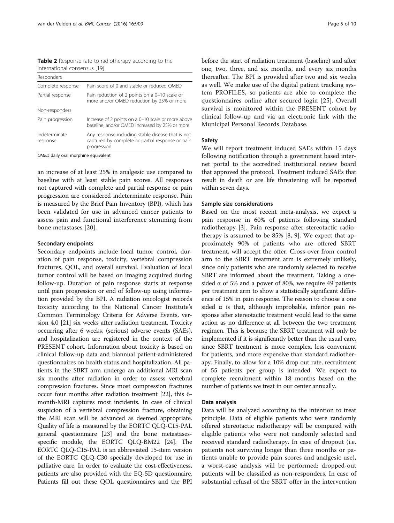<span id="page-4-0"></span>Table 2 Response rate to radiotherapy according to the international consensus [[19](#page-8-0)]

| Responders                |                                                                                                                      |
|---------------------------|----------------------------------------------------------------------------------------------------------------------|
| Complete response         | Pain score of 0 and stable or reduced OMED                                                                           |
| Partial response          | Pain reduction of 2 points on a 0-10 scale or<br>more and/or OMED reduction by 25% or more                           |
| Non-responders            |                                                                                                                      |
| Pain progression          | Increase of 2 points on a 0-10 scale or more above<br>baseline, and/or OMED increased by 25% or more                 |
| Indeterminate<br>response | Any response including stable disease that is not<br>captured by complete or partial response or pain<br>progression |

OMED daily oral morphine equivalent

an increase of at least 25% in analgesic use compared to baseline with at least stable pain scores. All responses not captured with complete and partial response or pain progression are considered indeterminate response. Pain is measured by the Brief Pain Inventory (BPI), which has been validated for use in advanced cancer patients to assess pain and functional interference stemming from bone metastases [[20\]](#page-8-0).

## Secondary endpoints

Secondary endpoints include local tumor control, duration of pain response, toxicity, vertebral compression fractures, QOL, and overall survival. Evaluation of local tumor control will be based on imaging acquired during follow-up. Duration of pain response starts at response until pain progression or end of follow-up using information provided by the BPI. A radiation oncologist records toxicity according to the National Cancer Institute's Common Terminology Criteria for Adverse Events, version 4.0 [[21](#page-8-0)] six weeks after radiation treatment. Toxicity occurring after 6 weeks, (serious) adverse events (SAEs), and hospitalization are registered in the context of the PRESENT cohort. Information about toxicity is based on clinical follow-up data and biannual patient-administered questionnaires on health status and hospitalization. All patients in the SBRT arm undergo an additional MRI scan six months after radiation in order to assess vertebral compression fractures. Since most compression fractures occur four months after radiation treatment [\[22\]](#page-8-0), this 6 month-MRI captures most incidents. In case of clinical suspicion of a vertebral compression fracture, obtaining the MRI scan will be advanced as deemed appropriate. Quality of life is measured by the EORTC QLQ-C15-PAL general questionnaire [[23](#page-8-0)] and the bone metastasesspecific module, the EORTC QLQ-BM22 [\[24\]](#page-8-0). The EORTC QLQ-C15-PAL is an abbreviated 15-item version of the EORTC QLQ-C30 specially developed for use in palliative care. In order to evaluate the cost-effectiveness, patients are also provided with the EQ-5D questionnaire. Patients fill out these QOL questionnaires and the BPI

before the start of radiation treatment (baseline) and after one, two, three, and six months, and every six months thereafter. The BPI is provided after two and six weeks as well. We make use of the digital patient tracking system PROFILES, so patients are able to complete the questionnaires online after secured login [\[25](#page-8-0)]. Overall survival is monitored within the PRESENT cohort by clinical follow-up and via an electronic link with the Municipal Personal Records Database.

## Safety

We will report treatment induced SAEs within 15 days following notification through a government based internet portal to the accredited institutional review board that approved the protocol. Treatment induced SAEs that result in death or are life threatening will be reported within seven days.

## Sample size considerations

Based on the most recent meta-analysis, we expect a pain response in 60% of patients following standard radiotherapy [[3\]](#page-8-0). Pain response after stereotactic radiotherapy is assumed to be 85% [\[8](#page-8-0), [9\]](#page-8-0). We expect that approximately 90% of patients who are offered SBRT treatment, will accept the offer. Cross-over from control arm to the SBRT treatment arm is extremely unlikely, since only patients who are randomly selected to receive SBRT are informed about the treatment. Taking a onesided  $\alpha$  of 5% and a power of 80%, we require 49 patients per treatment arm to show a statistically significant difference of 15% in pain response. The reason to choose a one sided  $\alpha$  is that, although improbable, inferior pain response after stereotactic treatment would lead to the same action as no difference at all between the two treatment regimen. This is because the SBRT treatment will only be implemented if it is significantly better than the usual care, since SBRT treatment is more complex, less convenient for patients, and more expensive than standard radiotherapy. Finally, to allow for a 10% drop out rate, recruitment of 55 patients per group is intended. We expect to complete recruitment within 18 months based on the number of patients we treat in our center annually.

## Data analysis

Data will be analyzed according to the intention to treat principle. Data of eligible patients who were randomly offered stereotactic radiotherapy will be compared with eligible patients who were not randomly selected and received standard radiotherapy. In case of dropout (i.e. patients not surviving longer than three months or patients unable to provide pain scores and analgesic use), a worst-case analysis will be performed: dropped-out patients will be classified as non-responders. In case of substantial refusal of the SBRT offer in the intervention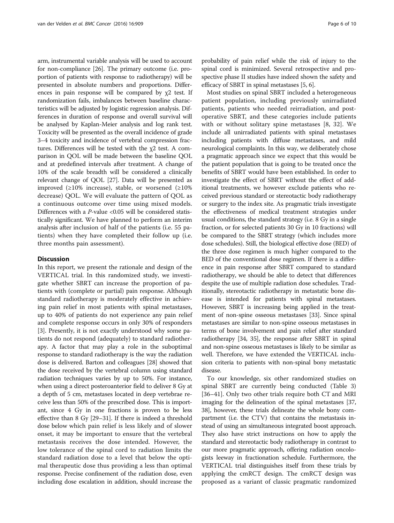arm, instrumental variable analysis will be used to account for non-compliance [\[26](#page-8-0)]. The primary outcome (i.e. proportion of patients with response to radiotherapy) will be presented in absolute numbers and proportions. Differences in pain response will be compared by  $\chi$ 2 test. If randomization fails, imbalances between baseline characteristics will be adjusted by logistic regression analysis. Differences in duration of response and overall survival will be analysed by Kaplan-Meier analysis and log rank test. Toxicity will be presented as the overall incidence of grade 3–4 toxicity and incidence of vertebral compression fractures. Differences will be tested with the χ2 test. A comparison in QOL will be made between the baseline QOL and at predefined intervals after treatment. A change of 10% of the scale breadth will be considered a clinically relevant change of QOL [\[27\]](#page-8-0). Data will be presented as improved ( $\geq 10\%$  increase), stable, or worsened ( $\geq 10\%$ decrease) QOL. We will evaluate the pattern of QOL as a continuous outcome over time using mixed models. Differences with a  $P$ -value <0.05 will be considered statistically significant. We have planned to perform an interim analysis after inclusion of half of the patients (i.e. 55 patients) when they have completed their follow up (i.e. three months pain assessment).

# **Discussion**

In this report, we present the rationale and design of the VERTICAL trial. In this randomized study, we investigate whether SBRT can increase the proportion of patients with (complete or partial) pain response. Although standard radiotherapy is moderately effective in achieving pain relief in most patients with spinal metastases, up to 40% of patients do not experience any pain relief and complete response occurs in only 30% of responders [[3\]](#page-8-0). Presently, it is not exactly understood why some patients do not respond (adequately) to standard radiotherapy. A factor that may play a role in the suboptimal response to standard radiotherapy is the way the radiation dose is delivered. Barton and colleagues [\[28\]](#page-8-0) showed that the dose received by the vertebral column using standard radiation techniques varies by up to 50%. For instance, when using a direct posteroanterior field to deliver 8 Gy at a depth of 5 cm, metastases located in deep vertebrae receive less than 50% of the prescribed dose. This is important, since 4 Gy in one fractions is proven to be less effective than 8 Gy [[29](#page-8-0)–[31\]](#page-8-0). If there is indeed a threshold dose below which pain relief is less likely and of slower onset, it may be important to ensure that the vertebral metastasis receives the dose intended. However, the low tolerance of the spinal cord to radiation limits the standard radiation dose to a level that below the optimal therapeutic dose thus providing a less than optimal response. Precise confinement of the radiation dose, even including dose escalation in addition, should increase the

probability of pain relief while the risk of injury to the spinal cord is minimized. Several retrospective and prospective phase II studies have indeed shown the safety and efficacy of SBRT in spinal metastases [[5](#page-8-0), [6\]](#page-8-0).

Most studies on spinal SBRT included a heterogeneous patient population, including previously unirradiated patients, patients who needed reirradiation, and postoperative SBRT, and these categories include patients with or without solitary spine metastases [\[8](#page-8-0), [32](#page-8-0)]. We include all unirradiated patients with spinal metastases including patients with diffuse metastases, and mild neurological complaints. In this way, we deliberately chose a pragmatic approach since we expect that this would be the patient population that is going to be treated once the benefits of SBRT would have been established. In order to investigate the effect of SBRT without the effect of additional treatments, we however exclude patients who received previous standard or stereotactic body radiotherapy or surgery to the index site. As pragmatic trials investigate the effectiveness of medical treatment strategies under usual conditions, the standard strategy (i.e. 8 Gy in a single fraction, or for selected patients 30 Gy in 10 fractions) will be compared to the SBRT strategy (which includes more dose schedules). Still, the biological effective dose (BED) of the three dose regimen is much higher compared to the BED of the conventional dose regimen. If there is a difference in pain response after SBRT compared to standard radiotherapy, we should be able to detect that differences despite the use of multiple radiation dose schedules. Traditionally, stereotactic radiotherapy in metastatic bone disease is intended for patients with spinal metastases. However, SBRT is increasing being applied in the treatment of non-spine osseous metastases [[33](#page-8-0)]. Since spinal metastases are similar to non-spine osseous metastases in terms of bone involvement and pain relief after standard radiotherapy [\[34](#page-8-0), [35](#page-8-0)], the response after SBRT in spinal and non-spine osseous metastases is likely to be similar as well. Therefore, we have extended the VERTICAL inclusion criteria to patients with non-spinal bony metastatic disease.

To our knowledge, six other randomized studies on spinal SBRT are currently being conducted (Table [3](#page-6-0)) [[36](#page-9-0)–[41](#page-9-0)]. Only two other trials require both CT and MRI imaging for the delineation of the spinal metastases [[37](#page-9-0), [38](#page-9-0)], however, these trials delineate the whole bony compartment (i.e. the CTV) that contains the metastasis instead of using an simultaneous integrated boost approach. They also have strict instructions on how to apply the standard and stereotactic body radiotherapy in contrast to our more pragmatic approach, offering radiation oncologists leeway in fractionation schedule. Furthermore, the VERTICAL trial distinguishes itself from these trials by applying the cmRCT design. The cmRCT design was proposed as a variant of classic pragmatic randomized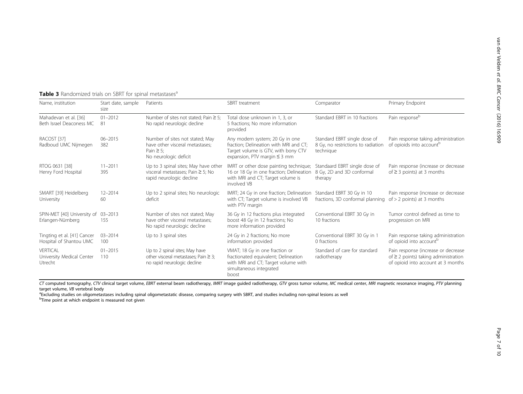|                                                        | <b>Fable J</b> Handonnized that's On Juni TOI Spinial Intetastases |                                                                                                               |                                                                                                                                                       |                                                                                 |                                                                                                                        |  |  |  |  |
|--------------------------------------------------------|--------------------------------------------------------------------|---------------------------------------------------------------------------------------------------------------|-------------------------------------------------------------------------------------------------------------------------------------------------------|---------------------------------------------------------------------------------|------------------------------------------------------------------------------------------------------------------------|--|--|--|--|
| Name, institution                                      | Start date, sample<br>size                                         | Patients                                                                                                      | SBRT treatment                                                                                                                                        | Comparator                                                                      | Primary Endpoint                                                                                                       |  |  |  |  |
| Mahadevan et al. [36]<br>Beth Israel Deaconess MC      | $01 - 2012$<br>81                                                  | Number of sites not stated; Pain $\geq 5$ ;<br>No rapid neurologic decline                                    | Total dose unknown in 1, 3, or<br>5 fractions; No more information<br>provided                                                                        | Standard EBRT in 10 fractions                                                   | Pain response <sup>b</sup>                                                                                             |  |  |  |  |
| RACOST [37]<br>Radboud UMC Nijmegen                    | $06 - 2015$<br>382                                                 | Number of sites not stated; May<br>have other visceral metastases:<br>Pain $\geq$ 5;<br>No neurologic deficit | Any modern system; 20 Gy in one<br>fraction; Delineation with MRI and CT;<br>Target volume is GTV, with bony CTV<br>expansion, PTV margin $\leq$ 3 mm | Standard EBRT single dose of<br>8 Gy, no restrictions to radiation<br>technique | Pain response taking administration<br>of opioids into account <sup>b</sup>                                            |  |  |  |  |
| RTOG 0631 [38]<br>Henry Ford Hospital                  | $11 - 2011$<br>395                                                 | Up to 3 spinal sites; May have other<br>visceral metastases; Pain $\geq$ 5; No<br>rapid neurologic decline    | IMRT or other dose painting technique;<br>16 or 18 Gy in one fraction; Delineation<br>with MRI and CT; Target volume is<br>involved VB                | Standaard EBRT single dose of<br>8 Gy, 2D and 3D conformal<br>therapy           | Pain response (increase or decrease<br>of $\geq$ 3 points) at 3 months                                                 |  |  |  |  |
| SMART [39] Heidelberg<br>University                    | $12 - 2014$<br>60                                                  | Up to 2 spinal sites; No neurologic<br>deficit                                                                | IMRT; 24 Gy in one fraction; Delineation<br>with CT; Target volume is involved VB<br>with PTV margin                                                  | Standard EBRT 30 Gy in 10<br>fractions, 3D conformal planning                   | Pain response (increase or decrease<br>of $> 2$ points) at 3 months                                                    |  |  |  |  |
| SPIN-MET [40] University of<br>Erlangen-Nürnberg       | $03 - 2013$<br>155                                                 | Number of sites not stated; May<br>have other visceral metastases:<br>No rapid neurologic decline             | 36 Gy in 12 fractions plus integrated<br>boost 48 Gy in 12 fractions; No<br>more information provided                                                 | Conventional EBRT 30 Gy in<br>10 fractions                                      | Tumor control defined as time to<br>progression on MRI                                                                 |  |  |  |  |
| Tingting et al. [41] Cancer<br>Hospital of Shantou UMC | $03 - 2014$<br>100                                                 | Up to 3 spinal sites                                                                                          | 24 Gy in 2 fractions; No more<br>information provided                                                                                                 | Conventional EBRT 30 Gy in 1<br>0 fractions                                     | Pain response taking administration<br>of opioid into account <sup>p</sup>                                             |  |  |  |  |
| VERTICAL<br>University Medical Center<br>Utrecht       | $01 - 2015$<br>110                                                 | Up to 2 spinal sites; May have<br>other visceral metastases; Pain $\geq$ 3;<br>no rapid neurologic decline    | VMAT; 18 Gy in one fraction or<br>fractionated equivalent; Delineation<br>with MRI and CT; Target volume with<br>simultaneous integrated<br>boost     | Standard of care for standard<br>radiotherapy                                   | Pain response (increase or decrease<br>of $\geq$ 2 points) taking administration<br>of opioid into account at 3 months |  |  |  |  |

<span id="page-6-0"></span>Table 3 Randomized trials on SBRT for spinal metastases<sup>a</sup>

CT computed tomography, CTV clinical target volume, EBRT external beam radiotherapy, IMRT image guided radiotherapy, GTV gross tumor volume, MC medical center, MRI magnetic resonance imaging, PTV planning target volume, VB vertebral body

<sup>a</sup> Excluding studies on oligometastases including spinal oligometastatic disease, comparing surgery with SBRT, and studies including non-spinal lesions as well

<sup>b</sup>Time point at which endpoint is measured not given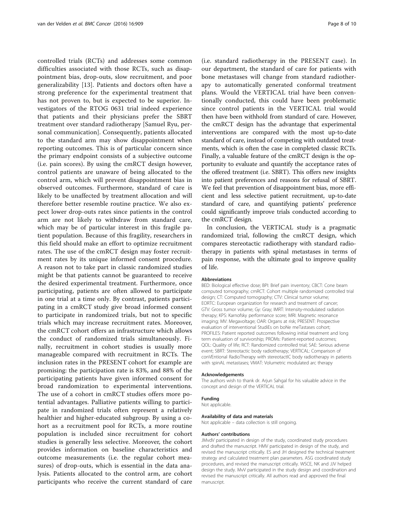controlled trials (RCTs) and addresses some common difficulties associated with those RCTs, such as disappointment bias, drop-outs, slow recruitment, and poor generalizability [[13\]](#page-8-0). Patients and doctors often have a strong preference for the experimental treatment that has not proven to, but is expected to be superior. Investigators of the RTOG 0631 trial indeed experience that patients and their physicians prefer the SBRT treatment over standard radiotherapy [Samuel Ryu, personal communication]. Consequently, patients allocated to the standard arm may show disappointment when reporting outcomes. This is of particular concern since the primary endpoint consists of a subjective outcome (i.e. pain scores). By using the cmRCT design however, control patients are unaware of being allocated to the control arm, which will prevent disappointment bias in observed outcomes. Furthermore, standard of care is likely to be unaffected by treatment allocation and will therefore better resemble routine practice. We also expect lower drop-outs rates since patients in the control arm are not likely to withdraw from standard care, which may be of particular interest in this fragile patient population. Because of this fragility, researchers in this field should make an effort to optimize recruitment rates. The use of the cmRCT design may foster recruitment rates by its unique informed consent procedure. A reason not to take part in classic randomized studies might be that patients cannot be guaranteed to receive the desired experimental treatment. Furthermore, once participating, patients are often allowed to participate in one trial at a time only. By contrast, patients participating in a cmRCT study give broad informed consent to participate in randomized trials, but not to specific trials which may increase recruitment rates. Moreover, the cmRCT cohort offers an infrastructure which allows the conduct of randomized trials simultaneously. Finally, recruitment in cohort studies is usually more manageable compared with recruitment in RCTs. The inclusion rates in the PRESENT cohort for example are promising: the participation rate is 83%, and 88% of the participating patients have given informed consent for broad randomization to experimental interventions. The use of a cohort in cmRCT studies offers more potential advantages. Palliative patients willing to participate in randomized trials often represent a relatively healthier and higher-educated subgroup. By using a cohort as a recruitment pool for RCTs, a more routine population is included since recruitment for cohort studies is generally less selective. Moreover, the cohort provides information on baseline characteristics and outcome measurements (i.e. the regular cohort measures) of drop-outs, which is essential in the data analysis. Patients allocated to the control arm, are cohort participants who receive the current standard of care

(i.e. standard radiotherapy in the PRESENT case). In our department, the standard of care for patients with bone metastases will change from standard radiotherapy to automatically generated conformal treatment plans. Would the VERTICAL trial have been conventionally conducted, this could have been problematic since control patients in the VERTICAL trial would then have been withhold from standard of care. However, the cmRCT design has the advantage that experimental interventions are compared with the most up-to-date standard of care, instead of competing with outdated treatments, which is often the case in completed classic RCTs. Finally, a valuable feature of the cmRCT design is the opportunity to evaluate and quantify the acceptance rates of the offered treatment (i.e. SBRT). This offers new insights into patient preferences and reasons for refusal of SBRT. We feel that prevention of disappointment bias, more efficient and less selective patient recruitment, up-to-date standard of care, and quantifying patients' preference could significantly improve trials conducted according to the cmRCT design.

In conclusion, the VERTICAL study is a pragmatic randomized trial, following the cmRCT design, which compares stereotactic radiotherapy with standard radiotherapy in patients with spinal metastases in terms of pain response, with the ultimate goal to improve quality of life.

#### Abbreviations

BED: Biological effective dose; BPI: Brief pain inventory; CBCT: Cone beam computed tomography; cmRCT: Cohort multiple randomized controlled trial design; CT: Computed tomography; CTV: Clinical tumor volume; EORTC: European organization for research and treatment of cancer; GTV: Gross tumor volume; Gy: Gray; IMRT: Intensity-modulated radiation therapy; KPS: Karnofsky performance score; MRI: Magnetic resonance imaging; MV: Megavoltage; OAR: Organs at risk; PRESENT: Prospective evaluation of interventional StudiEs on boNe meTastases cohort; PROFILES: Patient reported outcomes following initial treatment and long term evaluation of survivorship; PROMs: Patient-reported outcomes; QOL: Quality of life; RCT: Randomized controlled trial; SAE: Serious adverse event; SBRT: Stereotactic body radiotherapy; VERTICAL: Comparison of conVEntional RadioTherapy with stereotactIC body radiotherapy in patients with spinAL metastases; VMAT: Volumetric modulated arc therapy

### Acknowledgements

The authors wish to thank dr. Arjun Sahgal for his valuable advice in the concept and design of the VERTICAL trial.

### Funding

Not applicable.

#### Availability of data and materials

Not applicable – data collection is still ongoing.

#### Authors' contributions

JMvdV participated in design of the study, coordinated study procedures and drafted the manuscript. HMV participated in design of the study, and revised the manuscript critically. ES and JH designed the technical treatment strategy and calculated treatment plan parameters. ASG coordinated study procedures, and revised the manuscript critically. WSCE, NK and JJV helped design the study. MvV participated in the study design and coordination and revised the manuscript critically. All authors read and approved the final manuscript.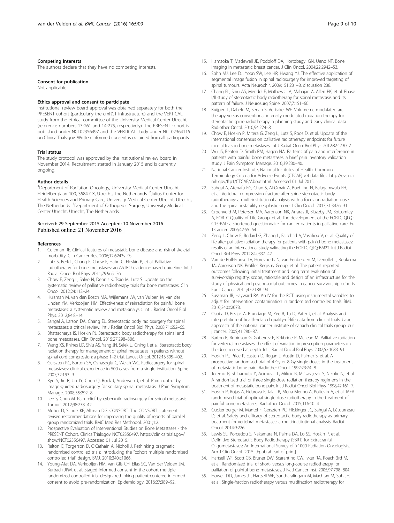### <span id="page-8-0"></span>Competing interests

The authors declare that they have no competing interests.

#### Consent for publication

Not applicable.

### Ethics approval and consent to participate

Institutional review board approval was obtained separately for both the PRESENT cohort (particularly the cmRCT infrastructure) and the VERTICAL study from the ethical committee of the University Medical Center Utrecht (reference numbers 13-261 and 14-275, respectively). The PRESENT cohort is published under NCT02356497 and the VERTICAL study under NCT02364115 on ClinicalTrials.gov. Written informed consent is obtained from all participants.

### Trial status

The study protocol was approved by the institutional review board in November 2014. Recruitment started in January 2015 and is currently ongoing.

#### Author details

<sup>1</sup>Department of Radiation Oncology, University Medical Center Utrecht, Heidelberglaan 100, 3584 CX, Utrecht, The Netherlands. <sup>2</sup>Julius Center for Health Sciences and Primary Care, University Medical Center Utrecht, Utrecht, The Netherlands. <sup>3</sup>Department of Orthopedic Surgery, University Medical Center Utrecht, Utrecht, The Netherlands.

# Received: 29 September 2015 Accepted: 10 November 2016 Published online: 21 November 2016

#### References

- 1. Coleman RE. Clinical features of metastatic bone disease and risk of skeletal morbidity. Clin Cancer Res. 2006;12:6243s–9s.
- Lutz S, Berk L, Chang E, Chow E, Hahn C, Hoskin P, et al. Palliative radiotherapy for bone metastases: an ASTRO evidence-based guideline. Int J Radiat Oncol Biol Phys. 2011;79:965–76.
- 3. Chow E, Zeng L, Salvo N, Dennis K, Tsao M, Lutz S. Update on the systematic review of palliative radiotherapy trials for bone metastases. Clin Oncol. 2012;24:112–24.
- 4. Huisman M, van den Bosch MA, Wijlemans JW, van Vulpen M, van der Linden YM, Verkooijen HM. Effectiveness of reirradiation for painful bone metastases: a systematic review and meta-analysis. Int J Radiat Oncol Biol Phys. 2012;84:8–14.
- 5. Sahgal A, Larson DA, Chang EL. Stereotactic body radiosurgery for spinal metastases: a critical review. Int J Radiat Oncol Biol Phys. 2008;71:652–65.
- 6. Bhattacharya IS, Hoskin PJ. Stereotactic body radiotherapy for spinal and bone metastases. Clin Oncol. 2015;27:298–306.
- 7. Wang XS, Rhines LD, Shiu AS, Yang JN, Selek U, Gning I, et al. Stereotactic body radiation therapy for management of spinal metastases in patients without spinal cord compression: a phase 1–2 trial. Lancet Oncol. 2012;13:395–402.
- 8. Gerszten PC, Burton SA, Ozhasoglu C, Welch WC. Radiosurgery for spinal metastases: clinical experience in 500 cases from a single institution. Spine. 2007;32:193–9.
- 9. Ryu S, Jin R, Jin JY, Chen Q, Rock J, Anderson J, et al. Pain control by image-guided radiosurgery for solitary spinal metastasis. J Pain Symptom Manage. 2008;35:292–8.
- 10. Lee S, Chun M. Pain relief by cyberknife radiosurgery for spinal metastasis. Tumori. 2012;98:238–42.
- 11. Moher D, Schulz KF, Altman DG. CONSORT. The CONSORT statement: revised recommendations for improving the quality of reports of parallel group randomized trials. BMC Med Res Methodol. 2001;1:2.
- 12. Prospective Evaluation of Interventional Studies on Bone Metastases the PRESENT Cohort. ClinicalTrials.gov NCT02356497. [https://clinicaltrials.gov/](https://clinicaltrials.gov/show/NCT02356497) [show/NCT02356497.](https://clinicaltrials.gov/show/NCT02356497) Accessed 01 Jul 2015.
- 13. Relton C, Torgerson D, O'Cathain A, Nicholl J. Rethinking pragmatic randomised controlled trials: introducing the "cohort multiple randomised controlled trial" design. BMJ. 2010;340:c1066.
- 14. Young-Afat DA, Verkooijen HM, van Gils CH, Elias SG, Van der Velden JM, Burbach JPM, et al. Staged-informed consent in the cohort multiple randomized controlled trial design: rethinking patient-centered informed consent to avoid pre-randomization. Epidemiology. 2016;27:389–92.
- 15. Hamaoka T, Madewell JE, Podoloff DA, Hortobagyi GN, Ueno NT. Bone imaging in metastatic breast cancer. J Clin Oncol. 2004;22:2942–53.
- 16. Sohn MJ, Lee DJ, Yoon SW, Lee HR, Hwang YJ. The effective application of segmental image fusion in spinal radiosurgery for improved targeting of spinal tumours. Acta Neurochir. 2009;151:231–8. discussion 238.
- 17. Chang EL, Shiu AS, Mendel E, Mathews LA, Mahajan A, Allen PK, et al. Phase I/II study of stereotactic body radiotherapy for spinal metastasis and its pattern of failure. J Neurosurg Spine. 2007;7:151–60.
- 18. Kuijper IT, Dahele M, Senan S, Verbakel WF, Volumetric modulated arc therapy versus conventional intensity modulated radiation therapy for stereotactic spine radiotherapy: a planning study and early clinical data. Radiother Oncol. 2010;94:224–8.
- 19. Chow E, Hoskin P, Mitera G, Zeng L, Lutz S, Roos D, et al. Update of the international consensus on palliative radiotherapy endpoints for future clinical trials in bone metastases. Int J Radiat Oncol Biol Phys. 2012;82:1730–7.
- 20. Wu JS, Beaton D, Smith PM, Hagen NA. Patterns of pain and interference in patients with painful bone metastases: a brief pain inventory validation study. J Pain Symptom Manage. 2010;39:230–40.
- 21. National Cancer Institute, National Institutes of Health. Common Terminology Criteria for Adverse Events (CTCAE) v.4 data files. [http://evs.nci.](http://evs.nci.nih.gov/ftp1/CTCAE/About.html) [nih.gov/ftp1/CTCAE/About.html](http://evs.nci.nih.gov/ftp1/CTCAE/About.html). Accessed 01 Jul 2015.
- 22. Sahgal A, Atenafu EG, Chao S, Al-Omair A, Boehling N, Balagamwala EH, et al. Vertebral compression fracture after spine stereotactic body radiotherapy: a multi-institutional analysis with a focus on radiation dose and the spinal instability neoplastic score. J Clin Oncol. 2013;31:3426–31.
- 23. Groenvold M, Petersen MA, Aaronson NK, Arraras JI, Blazeby JM, Bottomley A, EORTC Quality of Life Group, et al. The development of the EORTC QLQ-C15-PAL: a shortened questionnaire for cancer patients in palliative care. Eur J Cancer. 2006;42:55–64.
- 24. Zeng L, Chow E, Bedard G, Zhang L, Fairchild A, Vassiliou V, et al. Quality of life after palliative radiation therapy for patients with painful bone metastases: results of an international study validating the EORTC QLQ-BM22. Int J Radiat Oncol Biol Phys. 2012;84:e337–42.
- 25. Van de Poll-Franse LV, Horevoorts N, van Eenbergen M, Denollet J, Roukema JA, Aaronson NK, Profiles Registry Group, et al. The patient reported outcomes following initial treatment and long term evaluation of survivorship registry: scope, rationale and design of an infrastructure for the study of physical and psychosocial outcomes in cancer survivorship cohorts. Eur J Cancer. 2011;47:2188–94.
- 26. Sussman JB, Hayward RA. An IV for the RCT: using instrumental variables to adjust for intervention contamination in randomised controlled trials. BMJ. 2010;340:c2073.
- 27. Osoba D, Bezjak A, Brundage M, Zee B, Tu D, Pater J, et al. Analysis and interpretation of health-related quality-of-life data from clinical trials: basic approach of the national cancer institute of canada clinical trials group. eur j cancer. 2005;41:280–87.
- 28. Barton R, Robinson G, Gutierrez E, Kirkbride P, McLean M. Palliative radiation for vertebral metastases: the effect of variation in prescription parameters on the dose received at depth. Int J Radiat Oncol Biol Phys. 2002;52:1083–91.
- 29. Hoskin PJ, Price P, Easton D, Regan J, Austin D, Palmer S, et al. A prospective randomised trial of 4 Gy or 8 Gy single doses in the treatment of metastatic bone pain. Radiother Oncol. 1992;23:74–8.
- 30. Jeremic B, Shibamoto Y, Acimovic L, Milicic B, Milisavljevic S, Nikolic N, et al. A randomized trial of three single-dose radiation therapy regimens in the treatment of metastatic bone pain. Int J Radiat Oncol Biol Phys. 1998;42:161–7.
- 31. Hoskin P, Rojas A, Fidarova E, Jalali R, Mena Merino A, Poitevin A, et al. IAEA randomised trial of optimal single dose radiotherapy in the treatment of painful bone metastases. Radiother Oncol. 2015;116:10–4.
- 32. Guckenberger M, Mantel F, Gerszten PC, Flickinger JC, Sahgal A, Létourneau D, et al. Safety and efficacy of stereotactic body radiotherapy as primary treatment for vertebral metastases: a multi-institutional analysis. Radiat Oncol. 2014;9:226.
- 33. Lewis SL, Porceddu S, Nakamura N, Palma DA, Lo SS, Hoskin P, et al. Definitive Stereotactic Body Radiotherapy (SBRT) for Extracranial Oligometastases: An International Survey of >1000 Radiation Oncologists. Am J Clin Oncol. 2015. [Epub ahead of print].
- 34. Hartsell WF, Scott CB, Bruner DW, Scarantino CW, Ivker RA, Roach 3rd M, et al. Randomized trial of short- versus long-course radiotherapy for palliation of painful bone metastases. J Natl Cancer Inst. 2005;97:798–804.
- 35. Howell DD, James JL, Hartsell WF, Suntharalingam M, Machtay M, Suh JH, et al. Single-fraction radiotherapy versus multifraction radiotherapy for